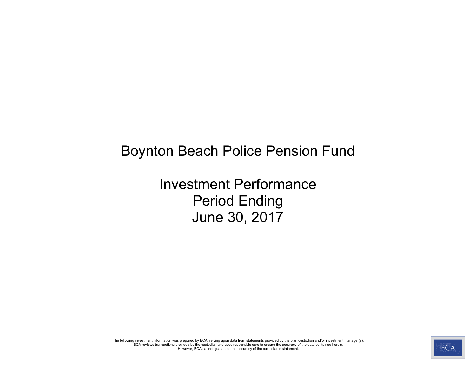# Boynton Beach Police Pension Fund

Investment Performance Period Ending June 30, 2017

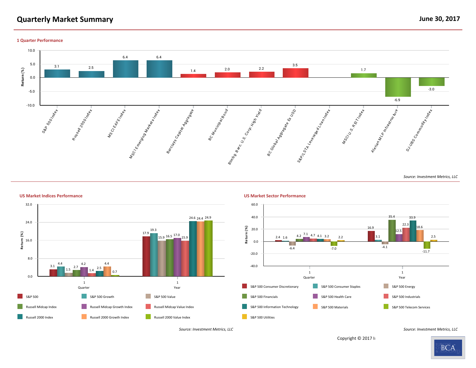# **Quarterly Market Summary June 30, 2017**

**1 Quarter Performance**





*Source: Investment Metrics, LLC Source: Investment Metrics, LLC*

Copyright © 2017 li

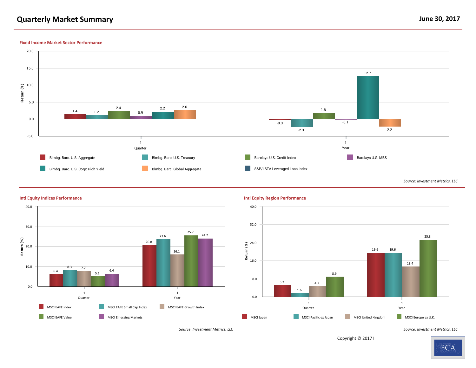## **Quarterly Market Summary June 30, 2017**

#### **Fixed Income Market Sector Performance**





#### **Intl Equity Indices Performance Intl Equity Region Performance**



*Source: Investment Metrics, LLC Source: Investment Metrics, LLC*

Copyright © 2017 li

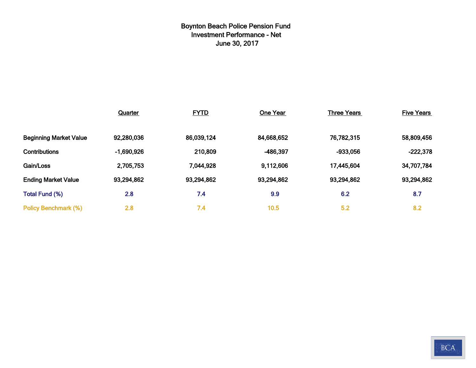# **Boynton Beach Police Pension Fund Investment Performance - Net June 30, 2017**

|                               | <b>Quarter</b> | <b>FYTD</b><br>One Year |            | <b>Three Years</b> | <b>Five Years</b> |
|-------------------------------|----------------|-------------------------|------------|--------------------|-------------------|
|                               |                |                         |            |                    |                   |
| <b>Beginning Market Value</b> | 92,280,036     | 86,039,124              | 84,668,652 | 76,782,315         | 58,809,456        |
| <b>Contributions</b>          | $-1,690,926$   | 210,809                 | -486,397   | $-933,056$         | $-222,378$        |
| Gain/Loss                     | 2,705,753      | 7,044,928               | 9,112,606  | 17,445,604         | 34,707,784        |
| <b>Ending Market Value</b>    | 93,294,862     | 93,294,862              | 93,294,862 | 93,294,862         | 93,294,862        |
| <b>Total Fund (%)</b>         | 2.8            | 7.4                     | 9.9        | 6.2                | 8.7               |
| <b>Policy Benchmark (%)</b>   | 2.8            | 7.4                     | 10.5       | 5.2                | 8.2               |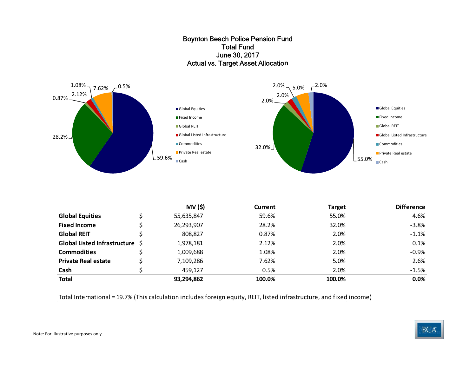#### Boynton Beach Police Pension Fund Total Fund June 30, 2017 Actual vs. Target Asset Allocatio**<sup>n</sup>**



|                                 | <b>MV (\$)</b> | Current | <b>Target</b> | <b>Difference</b> |
|---------------------------------|----------------|---------|---------------|-------------------|
| <b>Global Equities</b>          | 55,635,847     | 59.6%   | 55.0%         | 4.6%              |
| <b>Fixed Income</b>             | 26,293,907     | 28.2%   | 32.0%         | $-3.8%$           |
| <b>Global REIT</b>              | 808,827        | 0.87%   | 2.0%          | $-1.1%$           |
| Global Listed Infrastructure \$ | 1,978,181      | 2.12%   | 2.0%          | 0.1%              |
| <b>Commodities</b>              | 1,009,688      | 1.08%   | 2.0%          | $-0.9%$           |
| <b>Private Real estate</b>      | 7,109,286      | 7.62%   | 5.0%          | 2.6%              |
| Cash                            | 459,127        | 0.5%    | 2.0%          | $-1.5%$           |
| <b>Total</b>                    | 93,294,862     | 100.0%  | 100.0%        | 0.0%              |

Total International <sup>=</sup> 19.7% (This calculation includes foreign equity, REIT, listed infrastructure, and fixed income)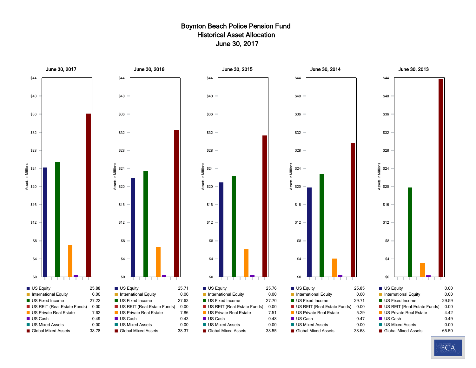#### Boynton Beach Police Pension Fund Historical Asset Allocation June 30, 2017



**BCA**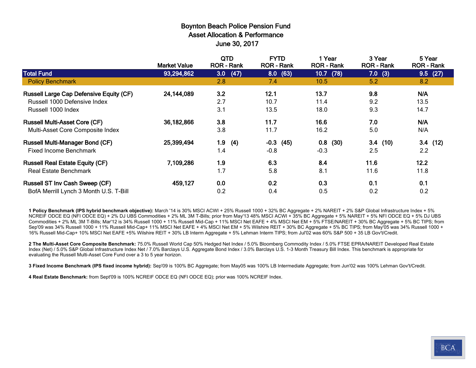#### Boynton Beach Police Pension Fund Asset Allocation & Performance June 30, 2017

|                                                | <b>Market Value</b> | <b>QTD</b><br><b>ROR - Rank</b> | <b>FYTD</b><br><b>ROR - Rank</b> | 1 Year<br><b>ROR - Rank</b> | 3 Year<br><b>ROR - Rank</b> | 5 Year<br><b>ROR - Rank</b> |
|------------------------------------------------|---------------------|---------------------------------|----------------------------------|-----------------------------|-----------------------------|-----------------------------|
| <b>Total Fund</b>                              | 93,294,862          | (47)<br>3.0                     | 8.0(63)                          | 10.7<br>(78)                | $7.0$ (3)                   | 9.5(27)                     |
| <b>Policy Benchmark</b>                        |                     | 2.8                             | 7.4                              | 10.5                        | 5.2                         | 8.2                         |
| <b>Russell Large Cap Defensive Equity (CF)</b> | 24,144,089          | 3.2                             | 12.1                             | 13.7                        | 9.8                         | N/A                         |
| Russell 1000 Defensive Index                   |                     | 2.7                             | 10.7                             | 11.4                        | 9.2                         | 13.5                        |
| Russell 1000 Index                             |                     | 3.1                             | 13.5                             | 18.0                        | 9.3                         | 14.7                        |
| <b>Russell Multi-Asset Core (CF)</b>           | 36,182,866          | 3.8                             | 11.7                             | 16.6                        | 7.0                         | N/A                         |
| Multi-Asset Core Composite Index               |                     | 3.8                             | 11.7                             | 16.2                        | 5.0                         | N/A                         |
| <b>Russell Multi-Manager Bond (CF)</b>         | 25,399,494          | 1.9<br>(4)                      | $-0.3$<br>(45)                   | (30)<br>0.8                 | 3.4<br>(10)                 | 3.4(12)                     |
| <b>Fixed Income Benchmark</b>                  |                     | 1.4                             | $-0.8$                           | $-0.3$                      | 2.5                         | 2.2                         |
| <b>Russell Real Estate Equity (CF)</b>         | 7,109,286           | 1.9                             | 6.3                              | 8.4                         | 11.6                        | 12.2                        |
| <b>Real Estate Benchmark</b>                   |                     | 1.7                             | 5.8                              | 8.1                         | 11.6                        | 11.8                        |
| <b>Russell ST Inv Cash Sweep (CF)</b>          | 459,127             | 0.0                             | 0.2                              | 0.3                         | 0.1                         | 0.1                         |
| BofA Merrill Lynch 3 Month U.S. T-Bill         |                     | 0.2                             | 0.4                              | 0.5                         | 0.2                         | 0.2                         |

**1 Policy Benchmark (IPS hybrid benchmark objective):** March '14 is 30% MSCI ACWI + 25% Russell 1000 + 32% BC Aggregate + 2% NAREIT + 2% S&P Global Infrastructure Index + 5% NCREIF ODCE EQ (NFI ODCE EQ) + 2% DJ UBS Commodities + 2% ML 3M T-Bills; prior from May'13 48% MSCI ACWI + 35% BC Aggregate + 5% NAREIT + 5% NFI ODCE EQ + 5% DJ UBS Commodities + 2% ML 3M T-Bills; Mar'12 is 34% Russell 1000 + 11% Russell Mid-Cap + 11% MSCI Net EAFE + 4% MSCI Net EM + 5% FTSE/NAREIT + 30% BC Aggregate + 5% BC TIPS; from Sep'09 was 34% Russell 1000 + 11% Russell Mid-Cap+ 11% MSCI Net EAFE + 4% MSCI Net EM + 5% Wilshire REIT + 30% BC Aggregate + 5% BC TIPS; from May'05 was 34% Russell 1000 + 16% Russell Mid-Cap+ 10% MSCI Net EAFE +5% Wilshire REIT + 30% LB Interm Aggregate + 5% Lehman Interm TIPS; from Jul'02 was 60% S&P 500 + 35 LB Gov't/Credit.

**2 The Multi-Asset Core Composite Benchmark:** 75.0% Russell World Cap 50% Hedged Net Index / 5.0% Bloomberg Commodity Index / 5.0% FTSE EPRA/NAREIT Developed Real Estate Index (Net) / 5.0% S&P Global Infrastructure Index Net / 7.0% Barclays U.S. Aggregate Bond Index / 3.0% Barclays U.S. 1-3 Month Treasury Bill Index. This benchmark is appropriate for evaluating the Russell Multi-Asset Core Fund over a 3 to 5 year horizon.

**3 Fixed Income Benchmark (IPS fixed income hybrid):** Sep'09 is 100% BC Aggregate; from May05 was 100% LB Intermediate Aggregate; from Jun'02 was 100% Lehman Gov't/Credit.

**4 Real Estate Benchmark:** from Sept'09 is 100% NCREIF ODCE EQ (NFI ODCE EQ); prior was 100% NCREIF Index.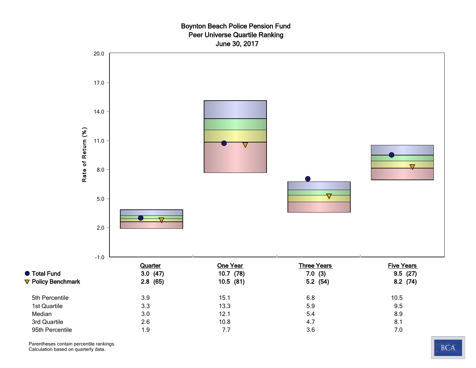#### Boynton Beach Police Pension Fund Peer Universe Quartile Ranking June 30, 2017



Parentheses contain percentile rankings. Calculation based on quarterly data.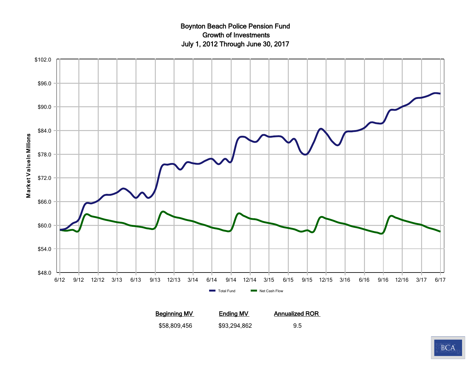## Boynton Beach Police Pension Fund Growth of Investments July 1, 2012 Through June 30, 2017



**Beginning MV Ending MV Annualized ROR** \$58,809,456 \$93,294,862 9.5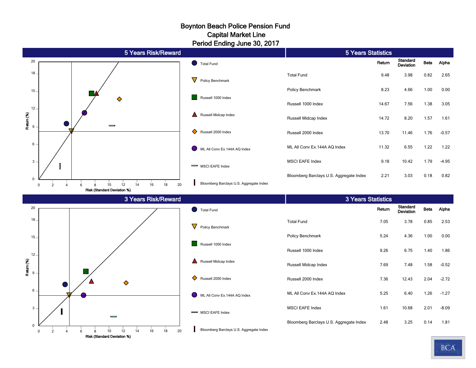#### Boynton Beach Police Pension Fund Period Ending June 30, 2017 Capital Market Line

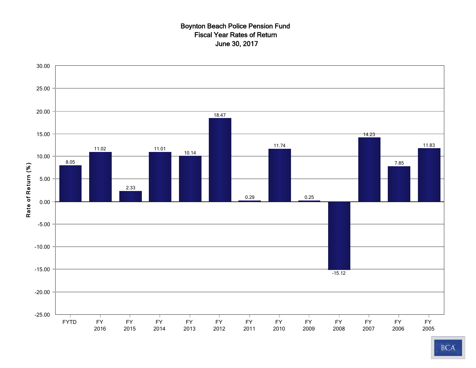#### Boynton Beach Police Pension Fund Fiscal Year Rates of Return June 30, 2017

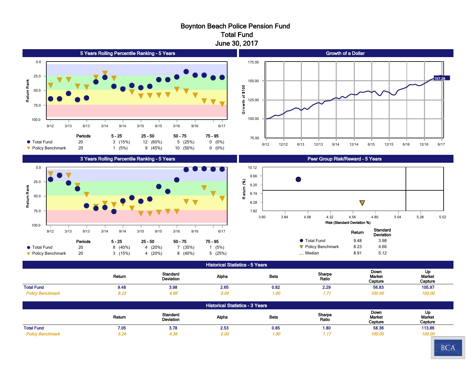#### Boynton Beach Police Pension Fund Total Fund June 30, 2017



|                         | Return | Standard<br>Deviation | Alpha | <b>Beta</b>       | Sharpe<br>Ratio<br>. | Down<br>Market<br>Capture | UL.<br>Market<br>Capture |
|-------------------------|--------|-----------------------|-------|-------------------|----------------------|---------------------------|--------------------------|
| <b>Total Fund</b>       | 9.48   | 3.98                  | 2.65  | 0.82              | 2.29                 | 56.83<br>.                | 105.97                   |
| <b>Policy Benchmark</b> | 8.23   | 4.66                  | 0.00  | 1.00 <sub>1</sub> |                      | 100.00                    | 100.00                   |

| <b>Historical Statistics - 3 Years</b> |        |                              |       |                   |                 |                           |                         |  |  |
|----------------------------------------|--------|------------------------------|-------|-------------------|-----------------|---------------------------|-------------------------|--|--|
|                                        | Return | <b>Standard</b><br>Deviation | Alpha | Beta              | Sharpe<br>Ratio | Down<br>Market<br>Capture | Up<br>Market<br>Capture |  |  |
| <b>Total Fund</b>                      | 7.05   | 3.78                         | 2.53  | 0.85              | 1.80            | 58.36                     | 113.86                  |  |  |
| <b>Policy Benchmark</b>                | 5.24   | 4.36                         | 0.00  | 1.00 <sub>1</sub> |                 | 100.00                    | 100.00                  |  |  |

90 Day U.S. Treasury Bill 0.20 0.11 0.15 0.01 N/A -0.71 2.68

157.26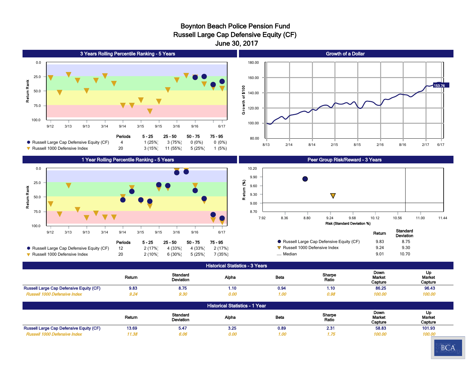#### Boynton Beach Police Pension Fund Russell Large Cap Defensive Equity (CF) June 30, 2017



Periods 5 - 25 25 - 50 - 50 - 75 - 75 - 95

9/12 3/13 9/13 3/14 9/14 3/15 9/15 3/16 9/16 6/17

 Russell Large Cap Defensive Equity (CF) 12 2 (17%) 4 (33%) 4 (33%) 2 (17%) q Russell 1000 Defensive Index 20 2 (10%) 6 (30%) 5 (25%) 7 (35%)

100.0

7.92 8.36 8.80 9.24 9.68 10.12 10.56 11.00 11.44 Risk (Standard Deviation %) Return Standard Deviation ● Russell Large Cap Defensive Equity (CF) 9.83 8.75  $\nabla$  Russell 1000 Defensive Index 9.24 9.30 — Median 8.01 10.70

Historical Statistics - 3 Years Return Standard<br>Deviation Deviation Alpha Beta Sharpe Sharpe<br>Ratio Down Market **Capture** Up Market **Capture** Russell Large Cap Defensive Equity (CF)  $9.83$  8.75 1.10 0.94 1.10 86.25 96.43  *Russell 1000 Defensive Index 9.24 9.30 0.00 1.00 0.98 100.00 100.00* 90 Day U.S. Treasury Bill 0.20 0.08 0.19 0.00 N/A -0.99 0.69 Historical Statistics - 1 Year

|                                         | Return | <b>Standard</b><br><b>Deviation</b> | Alpha | <b>Beta</b>   | Sharpe<br>Ratio | Down<br><b>Market</b><br>Capture | Up<br><b>Market</b><br>Capture |
|-----------------------------------------|--------|-------------------------------------|-------|---------------|-----------------|----------------------------------|--------------------------------|
| Russell Large Cap Defensive Equity (CF) | 13.69  | 5.47                                | 3.25  | 0.89          | $2.3^{\circ}$   | 58.83                            | 101.93                         |
| IAAA Dafanah <i>i</i> a Indav           | 1.38   |                                     | 0.00  | <sub>oc</sub> | 1. / U          | 100.00                           | 100.00                         |

90 Day U.S. Treasury Bill 0.44 0.07 0.42 0.00 N/A -3.88 1.81

153.76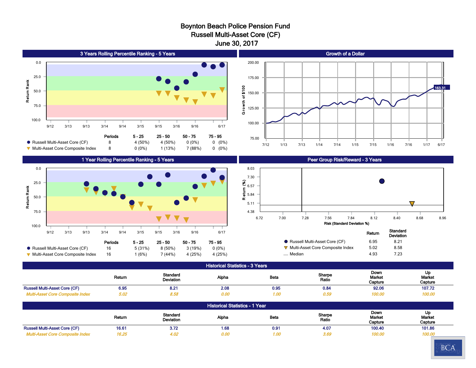#### Boynton Beach Police Pension Fund Russell Multi-Asset Core (CF) June 30, 2017



Russell Multi-Asset Core (CF) a and 16.61 16.61 1.68 1.68 1.68 1.68 1.69 1.68 1.69 1.68 1.69 1.86 1.72  *Multi-Asset Core Composite Index 16.25 4.02 0.00 1.00 3.69 100.00 100.00* 90 Day U.S. Treasury Bill 0.44 0.07 0.40 0.00 N/A -1.13 2.59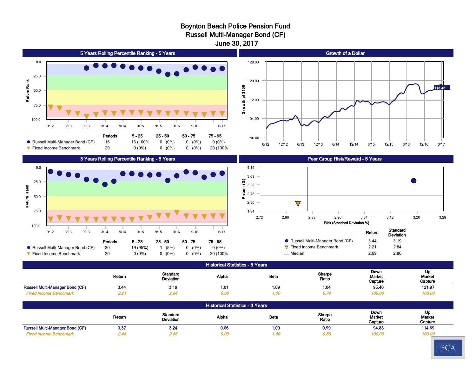## Boynton Beach Police Pension Fund

Russell Multi-Manager Bond (CF)

June 30, 2017



90 Day U.S. Treasury Bill 0.20 0.08 0.19 0.00 N/A -2.79 2.52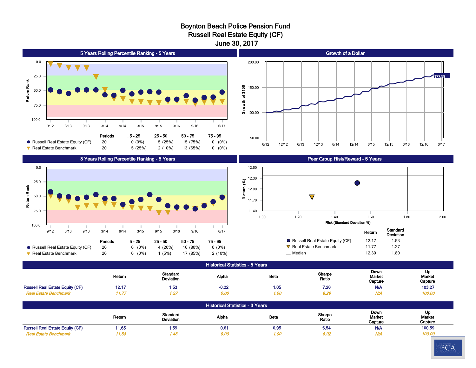#### Boynton Beach Police Pension Fund Russell Real Estate Equity (CF) June 30, 2017





#### 3 Years Rolling Percentile Ranking - 5 Years



#### Peer Group Risk/Reward - 5 Years



|                                   | Return | olanuaru<br>Deviation |
|-----------------------------------|--------|-----------------------|
| ● Russell Real Estate Equity (CF) | 12 17  | 1.53                  |
| $\nabla$ Real Estate Benchmark    | 11 77  | 1 27                  |
| Median                            | 12.39  | 1.80                  |

#### Historical Statistics - 5 Years

|                                               | Return | Standard<br>Deviation | Alpha   | Beta | Sharpe<br>Ratio | Down<br>Market<br>Capture | u<br>Market<br>Capture |
|-----------------------------------------------|--------|-----------------------|---------|------|-----------------|---------------------------|------------------------|
| <b>I Real Estate Equity (CF)</b><br>Russell . | 14. L  | I.53                  | $-0.22$ | 1.05 | 7.26            | <b>N/A</b>                | 103.27                 |
| Estate Benchmark                              |        |                       | 0.00    | I.OC |                 | $^{\prime\prime}$         | 100.00                 |

| <b>Historical Statistics - 3 Years</b> |        |                                     |       |      |                 |                           |                         |  |  |
|----------------------------------------|--------|-------------------------------------|-------|------|-----------------|---------------------------|-------------------------|--|--|
|                                        | Return | <b>Standard</b><br><b>Deviation</b> | Alpha | Beta | Sharpe<br>Ratio | Down<br>Market<br>Capture | Up<br>Market<br>Capture |  |  |
| <b>Russell Real Estate Equity (CF)</b> | 11.65  | 1.59                                | 0.61  | 0.95 | 6.54            | <b>N/A</b>                | 100.59                  |  |  |
| <b>Real Estate Benchmark</b>           | 11.58  | 1.48                                | 0.00  | 1.00 | 6.92            | <b>N/A</b>                | 100.00                  |  |  |

90 Day U.S. Treasury Bill 0.20 0.11 0.90 -0.06 N/A N/A 1.80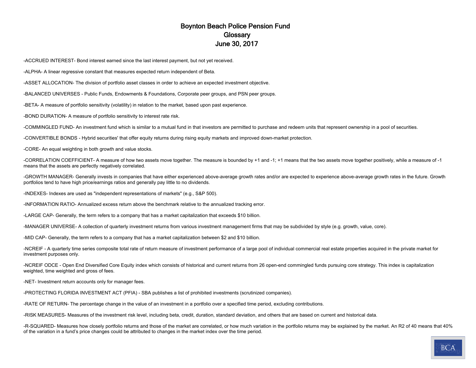#### Boynton Beach Police Pension Fund **Glossary** June 30, 2017

-ACCRUED INTEREST- Bond interest earned since the last interest payment, but not yet received.

-ALPHA- A linear regressive constant that measures expected return independent of Beta.

-ASSET ALLOCATION- The division of portfolio asset classes in order to achieve an expected investment objective.

-BALANCED UNIVERSES - Public Funds, Endowments & Foundations, Corporate peer groups, and PSN peer groups.

-BETA- A measure of portfolio sensitivity (volatility) in relation to the market, based upon past experience.

-BOND DURATION- A measure of portfolio sensitivity to interest rate risk.

-COMMINGLED FUND- An investment fund which is similar to a mutual fund in that investors are permitted to purchase and redeem units that represent ownership in a pool of securities.

-CONVERTIBLE BONDS - Hybrid securities' that offer equity returns during rising equity markets and improved down-market protection.

-CORE- An equal weighting in both growth and value stocks.

-CORRELATION COEFFICIENT- A measure of how two assets move together. The measure is bounded by +1 and -1; +1 means that the two assets move together positively, while a measure of -1 means that the assets are perfectly negatively correlated.

-GROWTH MANAGER- Generally invests in companies that have either experienced above-average growth rates and/or are expected to experience above-average growth rates in the future. Growth portfolios tend to have high price/earnings ratios and generally pay little to no dividends.

-INDEXES- Indexes are used as "independent representations of markets" (e.g., S&P 500).

-INFORMATION RATIO- Annualized excess return above the benchmark relative to the annualized tracking error.

-LARGE CAP- Generally, the term refers to a company that has a market capitalization that exceeds \$10 billion.

-MANAGER UNIVERSE- A collection of quarterly investment returns from various investment management firms that may be subdivided by style (e.g. growth, value, core).

-MID CAP- Generally, the term refers to a company that has a market capitalization between \$2 and \$10 billion.

-NCREIF - A quarterly time series composite total rate of return measure of investment performance of a large pool of individual commercial real estate properties acquired in the private market for investment purposes only.

-NCREIF ODCE - Open End Diversified Core Equity index which consists of historical and current returns from 26 open-end commingled funds pursuing core strategy. This index is capitalization weighted, time weighted and gross of fees.

-NET- Investment return accounts only for manager fees.

-PROTECTING FLORIDA INVESTMENT ACT (PFIA) - SBA publishes a list of prohibited investments (scrutinized companies).

-RATE OF RETURN- The percentage change in the value of an investment in a portfolio over a specified time period, excluding contributions.

-RISK MEASURES- Measures of the investment risk level, including beta, credit, duration, standard deviation, and others that are based on current and historical data.

-R-SQUARED- Measures how closely portfolio returns and those of the market are correlated, or how much variation in the portfolio returns may be explained by the market. An R2 of 40 means that 40% of the variation in a fund's price changes could be attributed to changes in the market index over the time period.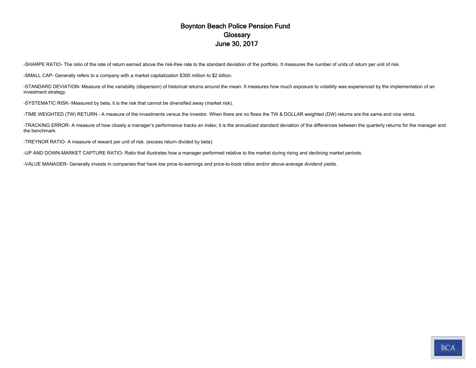#### Boynton Beach Police Pension Fund **Glossary** June 30, 2017

-SHARPE RATIO- The ratio of the rate of return earned above the risk-free rate to the standard deviation of the portfolio. It measures the number of units of return per unit of risk.

-SMALL CAP- Generally refers to a company with a market capitalization \$300 million to \$2 billion.

-STANDARD DEVIATION- Measure of the variability (dispersion) of historical returns around the mean. It measures how much exposure to volatility was experienced by the implementation of an investment strategy.

-SYSTEMATIC RISK- Measured by beta, it is the risk that cannot be diversified away (market risk).

-TIME WEIGHTED (TW) RETURN - A measure of the investments versus the investor. When there are no flows the TW & DOLLAR weighted (DW) returns are the same and vice versa.

-TRACKING ERROR- A measure of how closely a manager's performance tracks an index; it is the annualized standard deviation of the differences between the quarterly returns for the manager and the benchmark.

-TREYNOR RATIO- A measure of reward per unit of risk. (excess return divided by beta).

-UP AND DOWN-MARKET CAPTURE RATIO- Ratio that illustrates how a manager performed relative to the market during rising and declining market periods.

-VALUE MANAGER- Generally invests in companies that have low price-to-earnings and price-to-book ratios and/or above-average dividend yields.